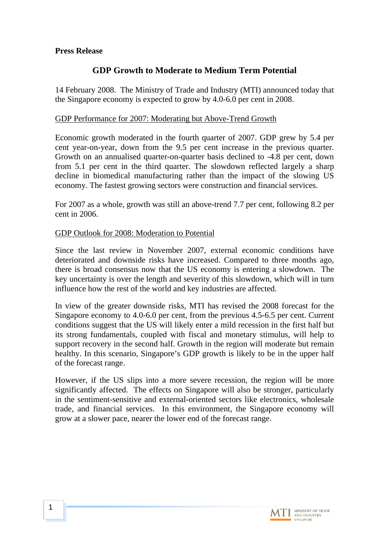### **Press Release**

## **GDP Growth to Moderate to Medium Term Potential**

14 February 2008. The Ministry of Trade and Industry (MTI) announced today that the Singapore economy is expected to grow by 4.0-6.0 per cent in 2008.

### GDP Performance for 2007: Moderating but Above-Trend Growth

Economic growth moderated in the fourth quarter of 2007. GDP grew by 5.4 per cent year-on-year, down from the 9.5 per cent increase in the previous quarter. Growth on an annualised quarter-on-quarter basis declined to -4.8 per cent, down from 5.1 per cent in the third quarter. The slowdown reflected largely a sharp decline in biomedical manufacturing rather than the impact of the slowing US economy. The fastest growing sectors were construction and financial services.

For 2007 as a whole, growth was still an above-trend 7.7 per cent, following 8.2 per cent in 2006.

### GDP Outlook for 2008: Moderation to Potential

Since the last review in November 2007, external economic conditions have deteriorated and downside risks have increased. Compared to three months ago, there is broad consensus now that the US economy is entering a slowdown. The key uncertainty is over the length and severity of this slowdown, which will in turn influence how the rest of the world and key industries are affected.

In view of the greater downside risks, MTI has revised the 2008 forecast for the Singapore economy to 4.0-6.0 per cent, from the previous 4.5-6.5 per cent. Current conditions suggest that the US will likely enter a mild recession in the first half but its strong fundamentals, coupled with fiscal and monetary stimulus, will help to support recovery in the second half. Growth in the region will moderate but remain healthy. In this scenario, Singapore's GDP growth is likely to be in the upper half of the forecast range.

However, if the US slips into a more severe recession, the region will be more significantly affected. The effects on Singapore will also be stronger, particularly in the sentiment-sensitive and external-oriented sectors like electronics, wholesale trade, and financial services. In this environment, the Singapore economy will grow at a slower pace, nearer the lower end of the forecast range.

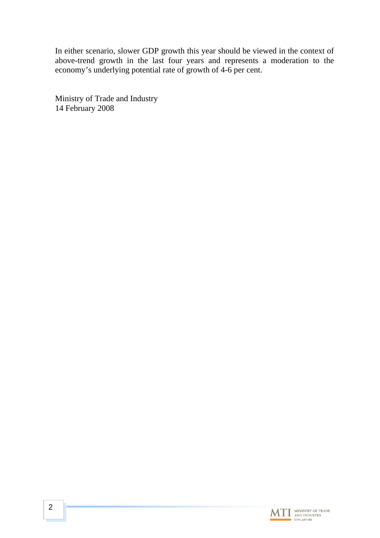In either scenario, slower GDP growth this year should be viewed in the context of above-trend growth in the last four years and represents a moderation to the economy's underlying potential rate of growth of 4-6 per cent.

Ministry of Trade and Industry 14 February 2008

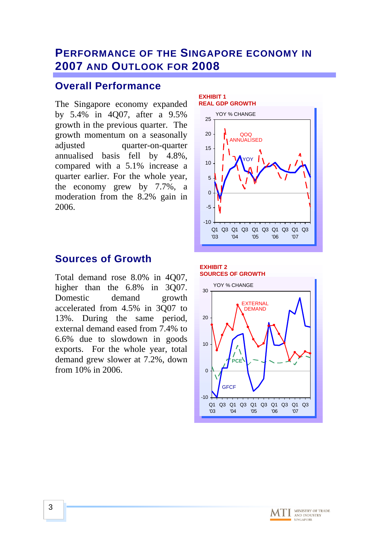## **PERFORMANCE OF THE SINGAPORE ECONOMY IN 2007 AND OUTLOOK FOR 2008**

## **Overall Performance**

The Singapore economy expanded by 5.4% in 4Q07, after a 9.5% growth in the previous quarter. The growth momentum on a seasonally adjusted quarter-on-quarter annualised basis fell by 4.8%, compared with a 5.1% increase a quarter earlier. For the whole year, the economy grew by 7.7%, a moderation from the 8.2% gain in 2006.

## **Sources of Growth**

Total demand rose 8.0% in 4Q07, higher than the 6.8% in 3007. Domestic demand growth accelerated from 4.5% in 3Q07 to 13%. During the same period, external demand eased from 7.4% to 6.6% due to slowdown in goods exports. For the whole year, total demand grew slower at 7.2%, down from 10% in 2006.





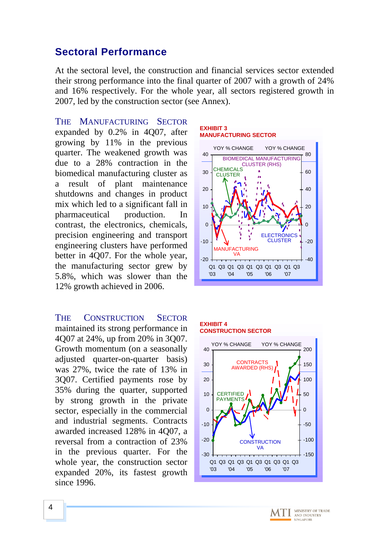## **Sectoral Performance**

At the sectoral level, the construction and financial services sector extended their strong performance into the final quarter of 2007 with a growth of 24% and 16% respectively. For the whole year, all sectors registered growth in 2007, led by the construction sector (see Annex).

THE MANUFACTURING SECTOR expanded by 0.2% in 4Q07, after growing by 11% in the previous quarter. The weakened growth was due to a 28% contraction in the biomedical manufacturing cluster as a result of plant maintenance shutdowns and changes in product mix which led to a significant fall in pharmaceutical production. In contrast, the electronics, chemicals, precision engineering and transport engineering clusters have performed better in 4Q07. For the whole year, the manufacturing sector grew by 5.8%, which was slower than the 12% growth achieved in 2006.

THE CONSTRUCTION SECTOR maintained its strong performance in 4Q07 at 24%, up from 20% in 3Q07. Growth momentum (on a seasonally adjusted quarter-on-quarter basis) was 27%, twice the rate of 13% in 3Q07. Certified payments rose by 35% during the quarter, supported by strong growth in the private sector, especially in the commercial and industrial segments. Contracts awarded increased 128% in 4Q07, a reversal from a contraction of 23% in the previous quarter. For the whole year, the construction sector expanded 20%, its fastest growth since 1996.

#### **EXHIBIT 3 MANUFACTURING SECTOR**



#### **EXHIBIT 4 CONSTRUCTION SECTOR**



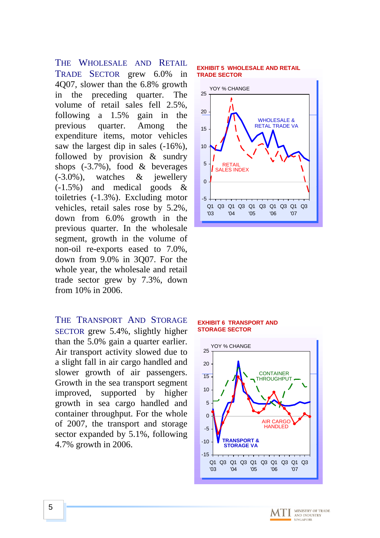THE WHOLESALE AND RETAIL TRADE SECTOR grew 6.0% in 4Q07, slower than the 6.8% growth in the preceding quarter. The volume of retail sales fell 2.5%, following a 1.5% gain in the previous quarter. Among the expenditure items, motor vehicles saw the largest dip in sales (-16%), followed by provision & sundry shops (-3.7%), food & beverages (-3.0%), watches & jewellery (-1.5%) and medical goods & toiletries (-1.3%). Excluding motor vehicles, retail sales rose by 5.2%, down from 6.0% growth in the previous quarter. In the wholesale segment, growth in the volume of non-oil re-exports eased to 7.0%, down from 9.0% in 3Q07. For the whole year, the wholesale and retail trade sector grew by 7.3%, down from 10% in 2006.

THE TRANSPORT AND STORAGE SECTOR grew 5.4%, slightly higher than the 5.0% gain a quarter earlier. Air transport activity slowed due to a slight fall in air cargo handled and slower growth of air passengers. Growth in the sea transport segment improved, supported by higher growth in sea cargo handled and container throughput. For the whole of 2007, the transport and storage sector expanded by 5.1%, following 4.7% growth in 2006.

### **EXHIBIT 5 WHOLESALE AND RETAIL TRADE SECTOR**



### **EXHIBIT 6 TRANSPORT AND STORAGE SECTOR**



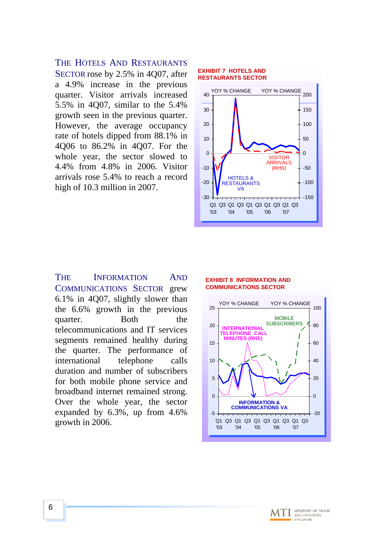### THE HOTELS AND RESTAURANTS

SECTOR rose by 2.5% in 4Q07, after a 4.9% increase in the previous quarter. Visitor arrivals increased 5.5% in 4Q07, similar to the 5.4% growth seen in the previous quarter. However, the average occupancy rate of hotels dipped from 88.1% in 4Q06 to 86.2% in 4Q07. For the whole year, the sector slowed to 4.4% from 4.8% in 2006. Visitor arrivals rose 5.4% to reach a record high of 10.3 million in 2007.

#### **EXHIBIT 7 HOTELS AND RESTAURANTS SECTOR**



THE INFORMATION AND COMMUNICATIONS SECTOR grew 6.1% in 4Q07, slightly slower than the 6.6% growth in the previous quarter. Both the telecommunications and IT services segments remained healthy during the quarter. The performance of international telephone calls duration and number of subscribers for both mobile phone service and broadband internet remained strong. Over the whole year, the sector expanded by 6.3%, up from 4.6% growth in 2006.

#### **EXHIBIT 8 INFORMATION AND COMMUNICATIONS SECTOR**



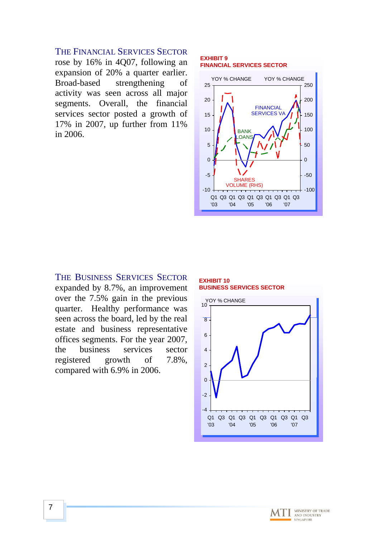### THE FINANCIAL SERVICES SECTOR

rose by 16% in 4Q07, following an expansion of 20% a quarter earlier. Broad-based strengthening of activity was seen across all major segments. Overall, the financial services sector posted a growth of 17% in 2007, up further from 11% in 2006.

### **EXHIBIT 9 FINANCIAL SERVICES SECTOR**



### THE BUSINESS SERVICES SECTOR

expanded by 8.7%, an improvement over the 7.5% gain in the previous quarter. Healthy performance was seen across the board, led by the real estate and business representative offices segments. For the year 2007, the business services sector registered growth of 7.8%, compared with 6.9% in 2006.





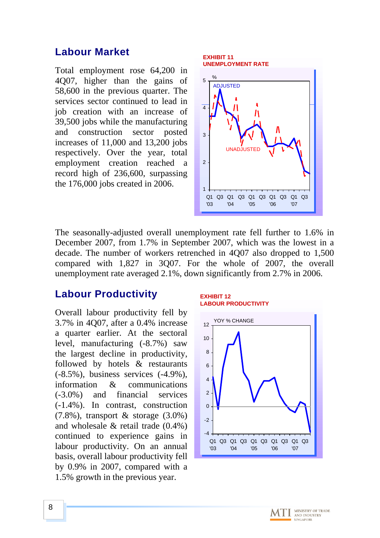## **Labour Market**

Total employment rose 64,200 in 4Q07, higher than the gains of 58,600 in the previous quarter. The services sector continued to lead in job creation with an increase of 39,500 jobs while the manufacturing and construction sector posted increases of 11,000 and 13,200 jobs respectively. Over the year, total employment creation reached a record high of 236,600, surpassing the 176,000 jobs created in 2006.



The seasonally-adjusted overall unemployment rate fell further to 1.6% in December 2007, from 1.7% in September 2007, which was the lowest in a decade. The number of workers retrenched in 4Q07 also dropped to 1,500 compared with 1,827 in 3Q07. For the whole of 2007, the overall unemployment rate averaged 2.1%, down significantly from 2.7% in 2006.

## **Labour Productivity**

Overall labour productivity fell by 3.7% in 4Q07, after a 0.4% increase a quarter earlier. At the sectoral level, manufacturing (-8.7%) saw the largest decline in productivity, followed by hotels & restaurants (-8.5%), business services (-4.9%), information & communications (-3.0%) and financial services (-1.4%). In contrast, construction  $(7.8\%)$ , transport & storage  $(3.0\%)$ and wholesale & retail trade (0.4%) continued to experience gains in labour productivity. On an annual basis, overall labour productivity fell by 0.9% in 2007, compared with a 1.5% growth in the previous year.



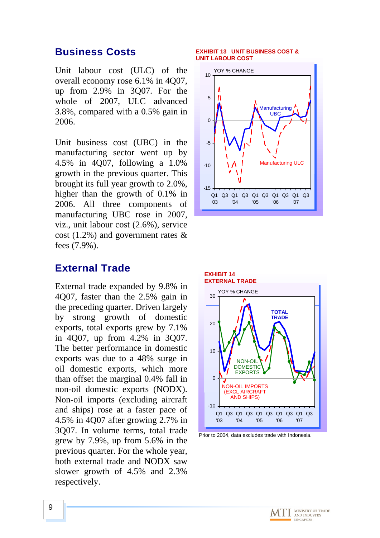## **Business Costs**

Unit labour cost (ULC) of the overall economy rose 6.1% in 4Q07, up from 2.9% in 3Q07. For the whole of 2007, ULC advanced 3.8%, compared with a 0.5% gain in 2006.

Unit business cost (UBC) in the manufacturing sector went up by 4.5% in 4Q07, following a 1.0% growth in the previous quarter. This brought its full year growth to 2.0%, higher than the growth of 0.1% in 2006. All three components of manufacturing UBC rose in 2007, viz., unit labour cost (2.6%), service cost (1.2%) and government rates & fees (7.9%).

## **External Trade**

External trade expanded by 9.8% in 4Q07, faster than the 2.5% gain in the preceding quarter. Driven largely by strong growth of domestic exports, total exports grew by 7.1% in 4Q07, up from 4.2% in 3Q07. The better performance in domestic exports was due to a 48% surge in oil domestic exports, which more than offset the marginal 0.4% fall in non-oil domestic exports (NODX). Non-oil imports (excluding aircraft and ships) rose at a faster pace of 4.5% in 4Q07 after growing 2.7% in 3Q07. In volume terms, total trade grew by 7.9%, up from 5.6% in the previous quarter. For the whole year, both external trade and NODX saw slower growth of 4.5% and 2.3% respectively.

### **EXHIBIT 13 UNIT BUSINESS COST & UNIT LABOUR COST**





Prior to 2004, data excludes trade with Indonesia.

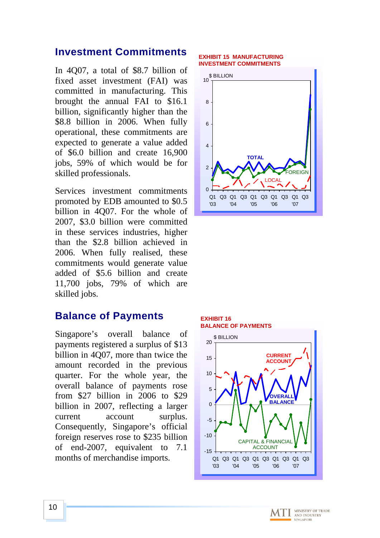## **Investment Commitments**

In 4Q07, a total of \$8.7 billion of fixed asset investment (FAI) was committed in manufacturing. This brought the annual FAI to \$16.1 billion, significantly higher than the \$8.8 billion in 2006. When fully operational, these commitments are expected to generate a value added of \$6.0 billion and create 16,900 jobs, 59% of which would be for skilled professionals.

Services investment commitments promoted by EDB amounted to \$0.5 billion in 4Q07. For the whole of 2007, \$3.0 billion were committed in these services industries, higher than the \$2.8 billion achieved in 2006. When fully realised, these commitments would generate value added of \$5.6 billion and create 11,700 jobs, 79% of which are skilled jobs.

## **Balance of Payments**

Singapore's overall balance of payments registered a surplus of \$13 billion in 4Q07, more than twice the amount recorded in the previous quarter. For the whole year, the overall balance of payments rose from \$27 billion in 2006 to \$29 billion in 2007, reflecting a larger current account surplus. Consequently, Singapore's official foreign reserves rose to \$235 billion of end-2007, equivalent to 7.1 months of merchandise imports.

#### **EXHIBIT 15 MANUFACTURING INVESTMENT COMMITMENTS**



### **EXHIBIT 16 BALANCE OF PAYMENTS**



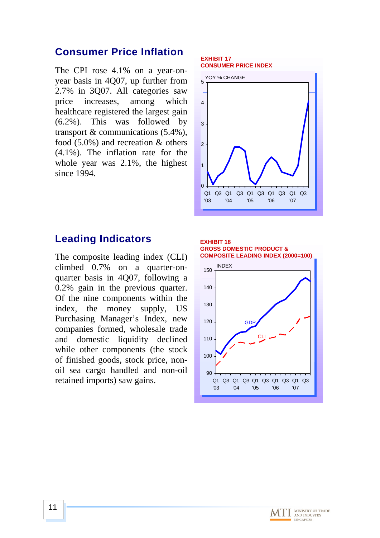## **Consumer Price Inflation**

The CPI rose 4.1% on a year-onyear basis in 4Q07, up further from 2.7% in 3Q07. All categories saw price increases, among which healthcare registered the largest gain (6.2%). This was followed by transport & communications (5.4%), food (5.0%) and recreation & others (4.1%). The inflation rate for the whole year was 2.1%, the highest since 1994.

#### **EXHIBIT 17 CONSUMER PRICE INDEX**



## **Leading Indicators**

The composite leading index (CLI) climbed 0.7% on a quarter-onquarter basis in 4Q07, following a 0.2% gain in the previous quarter. Of the nine components within the index, the money supply, US Purchasing Manager's Index, new companies formed, wholesale trade and domestic liquidity declined while other components (the stock of finished goods, stock price, nonoil sea cargo handled and non-oil retained imports) saw gains.



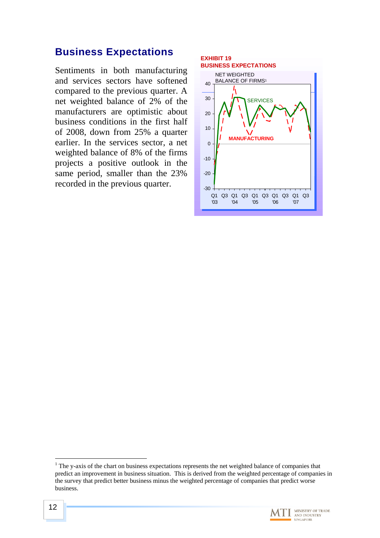## **Business Expectations**

Sentiments in both manufacturing and services sectors have softened compared to the previous quarter. A net weighted balance of 2% of the manufacturers are optimistic about business conditions in the first half of 2008, down from 25% a quarter earlier. In the services sector, a net weighted balance of 8% of the firms projects a positive outlook in the same period, smaller than the 23% recorded in the previous quarter.



 $\overline{a}$  $1$  The y-axis of the chart on business expectations represents the net weighted balance of companies that predict an improvement in business situation. This is derived from the weighted percentage of companies in the survey that predict better business minus the weighted percentage of companies that predict worse business.